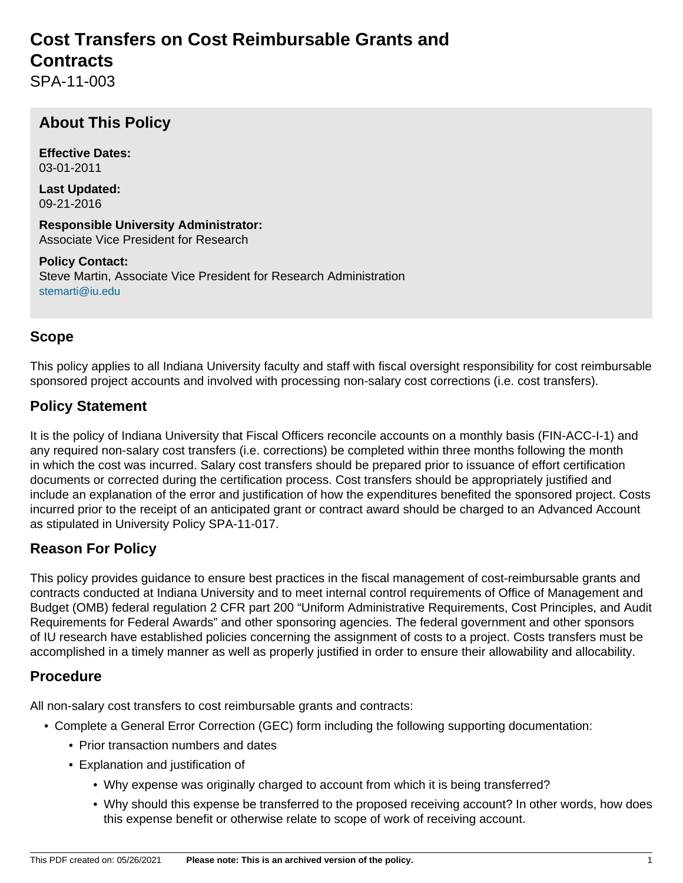# **Cost Transfers on Cost Reimbursable Grants and Contracts**

SPA-11-003

# **About This Policy**

**Effective Dates:** 03-01-2011

**Last Updated:** 09-21-2016

**Responsible University Administrator:** Associate Vice President for Research

**Policy Contact:** Steve Martin, Associate Vice President for Research Administration [stemarti@iu.edu](mailto:stemarti@iu.edu)

#### **Scope**

This policy applies to all Indiana University faculty and staff with fiscal oversight responsibility for cost reimbursable sponsored project accounts and involved with processing non-salary cost corrections (i.e. cost transfers).

#### **Policy Statement**

It is the policy of Indiana University that Fiscal Officers reconcile accounts on a monthly basis (FIN-ACC-I-1) and any required non-salary cost transfers (i.e. corrections) be completed within three months following the month in which the cost was incurred. Salary cost transfers should be prepared prior to issuance of effort certification documents or corrected during the certification process. Cost transfers should be appropriately justified and include an explanation of the error and justification of how the expenditures benefited the sponsored project. Costs incurred prior to the receipt of an anticipated grant or contract award should be charged to an Advanced Account as stipulated in University Policy SPA-11-017.

#### **Reason For Policy**

This policy provides guidance to ensure best practices in the fiscal management of cost-reimbursable grants and contracts conducted at Indiana University and to meet internal control requirements of Office of Management and Budget (OMB) federal regulation 2 CFR part 200 "Uniform Administrative Requirements, Cost Principles, and Audit Requirements for Federal Awards" and other sponsoring agencies. The federal government and other sponsors of IU research have established policies concerning the assignment of costs to a project. Costs transfers must be accomplished in a timely manner as well as properly justified in order to ensure their allowability and allocability.

#### **Procedure**

All non-salary cost transfers to cost reimbursable grants and contracts:

- Complete a General Error Correction (GEC) form including the following supporting documentation:
	- Prior transaction numbers and dates
	- Explanation and justification of
		- Why expense was originally charged to account from which it is being transferred?
		- Why should this expense be transferred to the proposed receiving account? In other words, how does this expense benefit or otherwise relate to scope of work of receiving account.